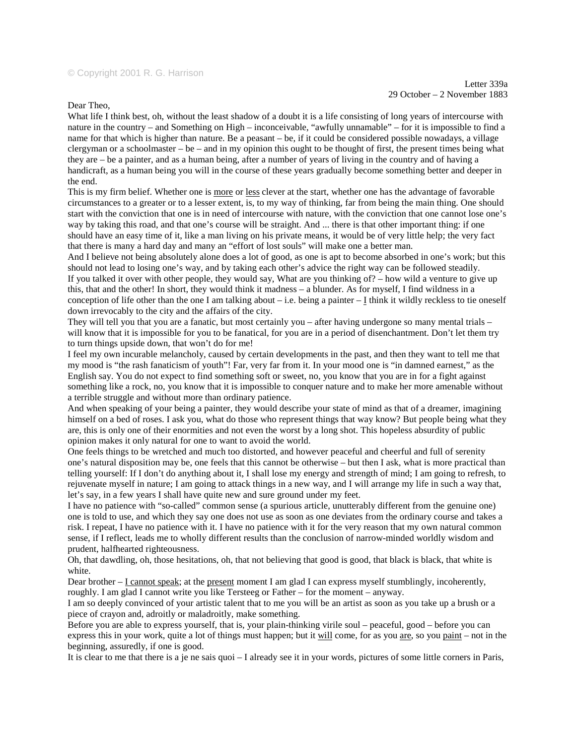Dear Theo,

What life I think best, oh, without the least shadow of a doubt it is a life consisting of long years of intercourse with nature in the country – and Something on High – inconceivable, "awfully unnamable" – for it is impossible to find a name for that which is higher than nature. Be a peasant – be, if it could be considered possible nowadays, a village clergyman or a schoolmaster – be – and in my opinion this ought to be thought of first, the present times being what they are – be a painter, and as a human being, after a number of years of living in the country and of having a handicraft, as a human being you will in the course of these years gradually become something better and deeper in the end.

This is my firm belief. Whether one is more or less clever at the start, whether one has the advantage of favorable circumstances to a greater or to a lesser extent, is, to my way of thinking, far from being the main thing. One should start with the conviction that one is in need of intercourse with nature, with the conviction that one cannot lose one's way by taking this road, and that one's course will be straight. And ... there is that other important thing: if one should have an easy time of it, like a man living on his private means, it would be of very little help; the very fact that there is many a hard day and many an "effort of lost souls" will make one a better man.

And I believe not being absolutely alone does a lot of good, as one is apt to become absorbed in one's work; but this should not lead to losing one's way, and by taking each other's advice the right way can be followed steadily. If you talked it over with other people, they would say, What are you thinking of? – how wild a venture to give up this, that and the other! In short, they would think it madness – a blunder. As for myself, I find wildness in a conception of life other than the one I am talking about – i.e. being a painter – I think it wildly reckless to tie oneself down irrevocably to the city and the affairs of the city.

They will tell you that you are a fanatic, but most certainly you – after having undergone so many mental trials – will know that it is impossible for you to be fanatical, for you are in a period of disenchantment. Don't let them try to turn things upside down, that won't do for me!

I feel my own incurable melancholy, caused by certain developments in the past, and then they want to tell me that my mood is "the rash fanaticism of youth"! Far, very far from it. In your mood one is "in damned earnest," as the English say. You do not expect to find something soft or sweet, no, you know that you are in for a fight against something like a rock, no, you know that it is impossible to conquer nature and to make her more amenable without a terrible struggle and without more than ordinary patience.

And when speaking of your being a painter, they would describe your state of mind as that of a dreamer, imagining himself on a bed of roses. I ask you, what do those who represent things that way know? But people being what they are, this is only one of their enormities and not even the worst by a long shot. This hopeless absurdity of public opinion makes it only natural for one to want to avoid the world.

One feels things to be wretched and much too distorted, and however peaceful and cheerful and full of serenity one's natural disposition may be, one feels that this cannot be otherwise – but then I ask, what is more practical than telling yourself: If I don't do anything about it, I shall lose my energy and strength of mind; I am going to refresh, to rejuvenate myself in nature; I am going to attack things in a new way, and I will arrange my life in such a way that, let's say, in a few years I shall have quite new and sure ground under my feet.

I have no patience with "so-called" common sense (a spurious article, unutterably different from the genuine one) one is told to use, and which they say one does not use as soon as one deviates from the ordinary course and takes a risk. I repeat, I have no patience with it. I have no patience with it for the very reason that my own natural common sense, if I reflect, leads me to wholly different results than the conclusion of narrow-minded worldly wisdom and prudent, halfhearted righteousness.

Oh, that dawdling, oh, those hesitations, oh, that not believing that good is good, that black is black, that white is white.

Dear brother – I cannot speak; at the present moment I am glad I can express myself stumblingly, incoherently, roughly. I am glad I cannot write you like Tersteeg or Father – for the moment – anyway.

I am so deeply convinced of your artistic talent that to me you will be an artist as soon as you take up a brush or a piece of crayon and, adroitly or maladroitly, make something.

Before you are able to express yourself, that is, your plain-thinking virile soul – peaceful, good – before you can express this in your work, quite a lot of things must happen; but it will come, for as you are, so you paint – not in the beginning, assuredly, if one is good.

It is clear to me that there is a je ne sais quoi – I already see it in your words, pictures of some little corners in Paris,